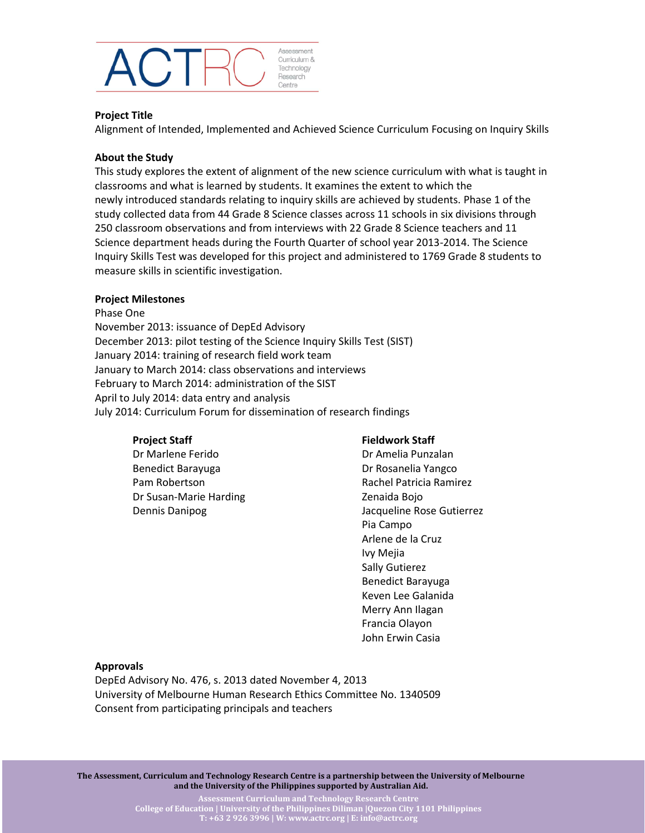

## **Project Title**

Alignment of Intended, Implemented and Achieved Science Curriculum Focusing on Inquiry Skills

## **About the Study**

This study explores the extent of alignment of the new science curriculum with what is taught in classrooms and what is learned by students. It examines the extent to which the newly introduced standards relating to inquiry skills are achieved by students. Phase 1 of the study collected data from 44 Grade 8 Science classes across 11 schools in six divisions through 250 classroom observations and from interviews with 22 Grade 8 Science teachers and 11 Science department heads during the Fourth Quarter of school year 2013-2014. The Science Inquiry Skills Test was developed for this project and administered to 1769 Grade 8 students to measure skills in scientific investigation.

## **Project Milestones**

Phase One November 2013: issuance of DepEd Advisory December 2013: pilot testing of the Science Inquiry Skills Test (SIST) January 2014: training of research field work team January to March 2014: class observations and interviews February to March 2014: administration of the SIST April to July 2014: data entry and analysis July 2014: Curriculum Forum for dissemination of research findings

# **Project Staff**

Dr Marlene Ferido Benedict Barayuga Pam Robertson Dr Susan-Marie Harding Dennis Danipog

#### **Fieldwork Staff**

Dr Amelia Punzalan Dr Rosanelia Yangco Rachel Patricia Ramirez Zenaida Bojo Jacqueline Rose Gutierrez Pia Campo Arlene de la Cruz Ivy Mejia Sally Gutierez Benedict Barayuga Keven Lee Galanida Merry Ann Ilagan Francia Olayon John Erwin Casia

#### **Approvals**

DepEd Advisory No. 476, s. 2013 dated November 4, 2013 University of Melbourne Human Research Ethics Committee No. 1340509 Consent from participating principals and teachers

**The Assessment, Curriculum and Technology Research Centre is a partnership between the University of Melbourne and the University of the Philippines supported by Australian Aid.**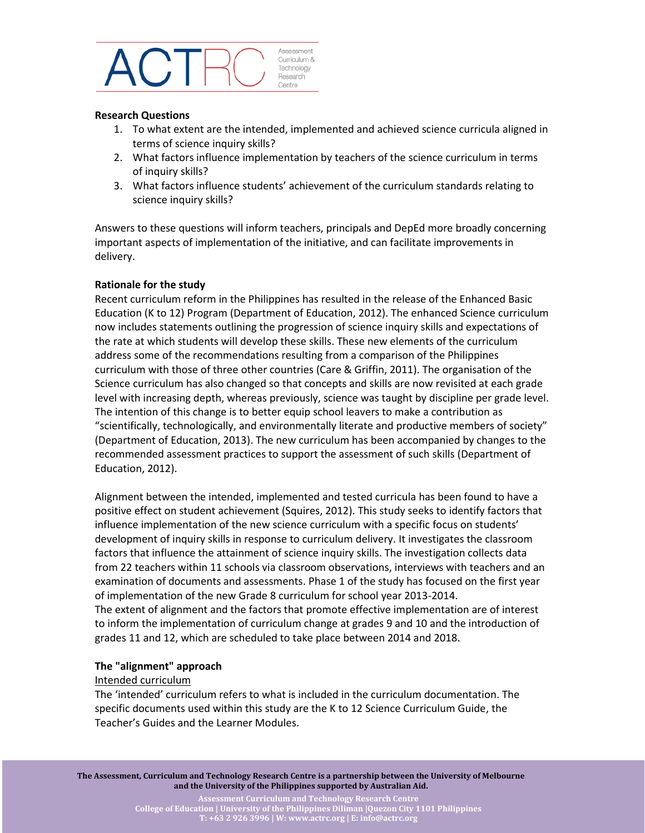

#### **Research Questions**

- 1. To what extent are the intended, implemented and achieved science curricula aligned in terms of science inquiry skills?
- 2. What factors influence implementation by teachers of the science curriculum in terms of inquiry skills?
- 3. What factors influence students' achievement of the curriculum standards relating to science inquiry skills?

Answers to these questions will inform teachers, principals and DepEd more broadly concerning important aspects of implementation of the initiative, and can facilitate improvements in delivery.

## **Rationale for the study**

Recent curriculum reform in the Philippines has resulted in the release of the Enhanced Basic Education (K to 12) Program (Department of Education, 2012). The enhanced Science curriculum now includes statements outlining the progression of science inquiry skills and expectations of the rate at which students will develop these skills. These new elements of the curriculum address some of the recommendations resulting from a comparison of the Philippines curriculum with those of three other countries (Care & Griffin, 2011). The organisation of the Science curriculum has also changed so that concepts and skills are now revisited at each grade level with increasing depth, whereas previously, science was taught by discipline per grade level. The intention of this change is to better equip school leavers to make a contribution as "scientifically, technologically, and environmentally literate and productive members of society" (Department of Education, 2013). The new curriculum has been accompanied by changes to the recommended assessment practices to support the assessment of such skills (Department of Education, 2012).

Alignment between the intended, implemented and tested curricula has been found to have a positive effect on student achievement (Squires, 2012). This study seeks to identify factors that influence implementation of the new science curriculum with a specific focus on students' development of inquiry skills in response to curriculum delivery. It investigates the classroom factors that influence the attainment of science inquiry skills. The investigation collects data from 22 teachers within 11 schools via classroom observations, interviews with teachers and an examination of documents and assessments. Phase 1 of the study has focused on the first year of implementation of the new Grade 8 curriculum for school year 2013-2014. The extent of alignment and the factors that promote effective implementation are of interest to inform the implementation of curriculum change at grades 9 and 10 and the introduction of grades 11 and 12, which are scheduled to take place between 2014 and 2018.

#### **The "alignment" approach**

#### Intended curriculum

The 'intended' curriculum refers to what is included in the curriculum documentation. The specific documents used within this study are the K to 12 Science Curriculum Guide, the Teacher's Guides and the Learner Modules.

**The Assessment, Curriculum and Technology Research Centre is a partnership between the University of Melbourne and the University of the Philippines supported by Australian Aid.**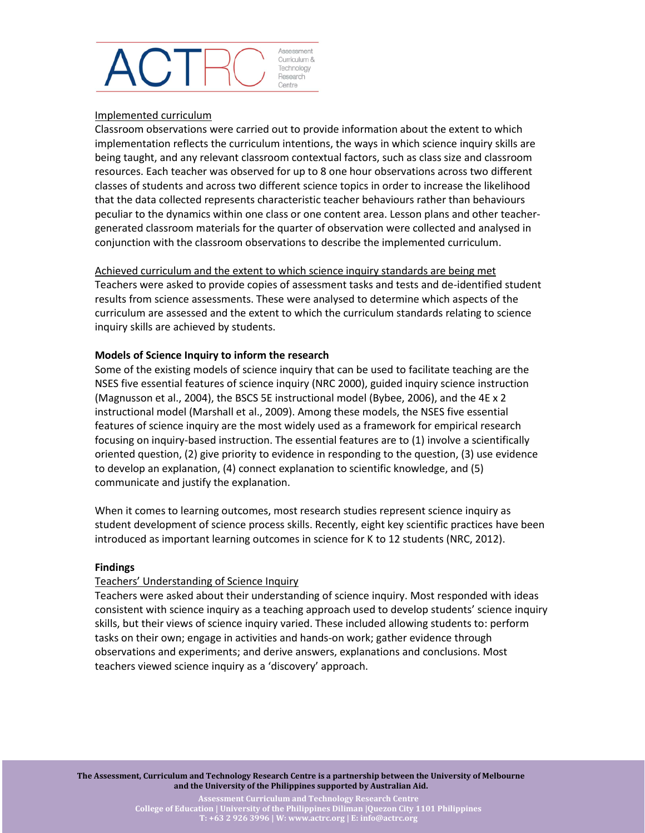#### Assessment Curriculum & Technology Research Centre

## Implemented curriculum

Classroom observations were carried out to provide information about the extent to which implementation reflects the curriculum intentions, the ways in which science inquiry skills are being taught, and any relevant classroom contextual factors, such as class size and classroom resources. Each teacher was observed for up to 8 one hour observations across two different classes of students and across two different science topics in order to increase the likelihood that the data collected represents characteristic teacher behaviours rather than behaviours peculiar to the dynamics within one class or one content area. Lesson plans and other teachergenerated classroom materials for the quarter of observation were collected and analysed in conjunction with the classroom observations to describe the implemented curriculum.

## Achieved curriculum and the extent to which science inquiry standards are being met

Teachers were asked to provide copies of assessment tasks and tests and de-identified student results from science assessments. These were analysed to determine which aspects of the curriculum are assessed and the extent to which the curriculum standards relating to science inquiry skills are achieved by students.

# **Models of Science Inquiry to inform the research**

Some of the existing models of science inquiry that can be used to facilitate teaching are the NSES five essential features of science inquiry (NRC 2000), guided inquiry science instruction (Magnusson et al., 2004), the BSCS 5E instructional model (Bybee, 2006), and the 4E x 2 instructional model (Marshall et al., 2009). Among these models, the NSES five essential features of science inquiry are the most widely used as a framework for empirical research focusing on inquiry-based instruction. The essential features are to (1) involve a scientifically oriented question, (2) give priority to evidence in responding to the question, (3) use evidence to develop an explanation, (4) connect explanation to scientific knowledge, and (5) communicate and justify the explanation.

When it comes to learning outcomes, most research studies represent science inquiry as student development of science process skills. Recently, eight key scientific practices have been introduced as important learning outcomes in science for K to 12 students (NRC, 2012).

# **Findings**

# Teachers' Understanding of Science Inquiry

Teachers were asked about their understanding of science inquiry. Most responded with ideas consistent with science inquiry as a teaching approach used to develop students' science inquiry skills, but their views of science inquiry varied. These included allowing students to: perform tasks on their own; engage in activities and hands-on work; gather evidence through observations and experiments; and derive answers, explanations and conclusions. Most teachers viewed science inquiry as a 'discovery' approach.